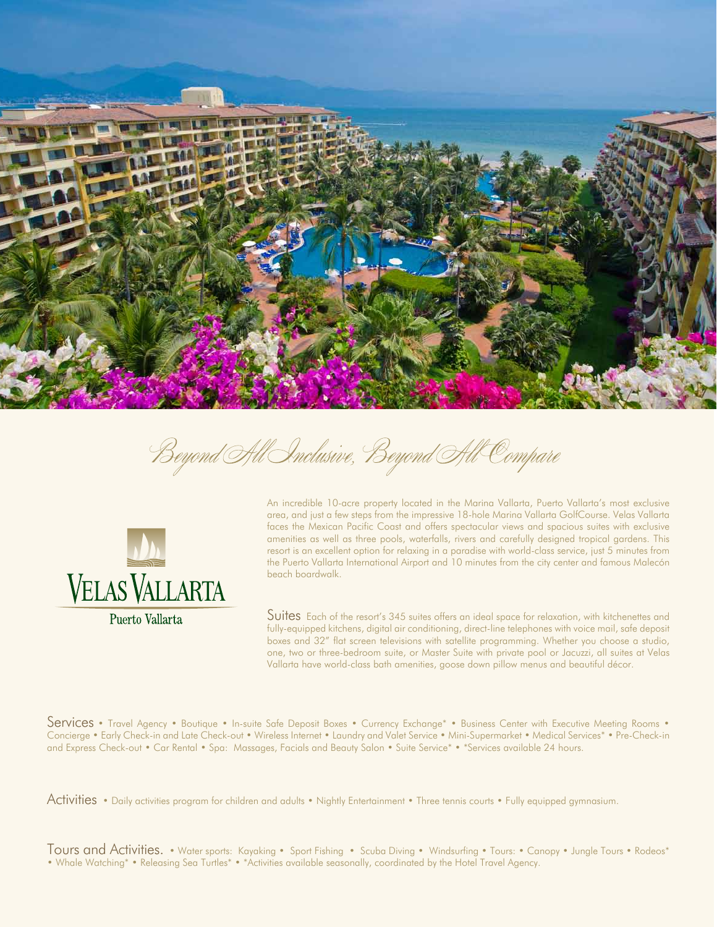

Beyond All Inclusive, Beyond All Compare



An incredible 10-acre property located in the Marina Vallarta, Puerto Vallarta's most exclusive area, and just a few steps from the impressive 18-hole Marina Vallarta GolfCourse. Velas Vallarta faces the Mexican Pacific Coast and offers spectacular views and spacious suites with exclusive amenities as well as three pools, waterfalls, rivers and carefully designed tropical gardens. This resort is an excellent option for relaxing in a paradise with world-class service, just 5 minutes from the Puerto Vallarta International Airport and 10 minutes from the city center and famous Malecón beach boardwalk.

Suites Each of the resort's 345 suites offers an ideal space for relaxation, with kitchenettes and fully-equipped kitchens, digital air conditioning, direct-line telephones with voice mail, safe deposit boxes and 32" flat screen televisions with satellite programming. Whether you choose a studio, one, two or three-bedroom suite, or Master Suite with private pool or Jacuzzi, all suites at Velas Vallarta have world-class bath amenities, goose down pillow menus and beautiful décor.

Services • Travel Agency • Boutique • In-suite Safe Deposit Boxes • Currency Exchange\* • Business Center with Executive Meeting Rooms • Concierge • Early Check-in and Late Check-out • Wireless Internet • Laundry and Valet Service • Mini-Supermarket • Medical Services\* • Pre-Check-in and Express Check-out • Car Rental • Spa: Massages, Facials and Beauty Salon • Suite Service\* • \*Services available 24 hours.

Activities • Daily activities program for children and adults • Nightly Entertainment • Three tennis courts • Fully equipped gymnasium.

Tours and Activities. • Water sports: Kayaking • Sport Fishing • Scuba Diving • Windsurfing • Tours: • Canopy • Jungle Tours • Rodeos\* • Whale Watching\* • Releasing Sea Turtles\* • \*Activities available seasonally, coordinated by the Hotel Travel Agency.